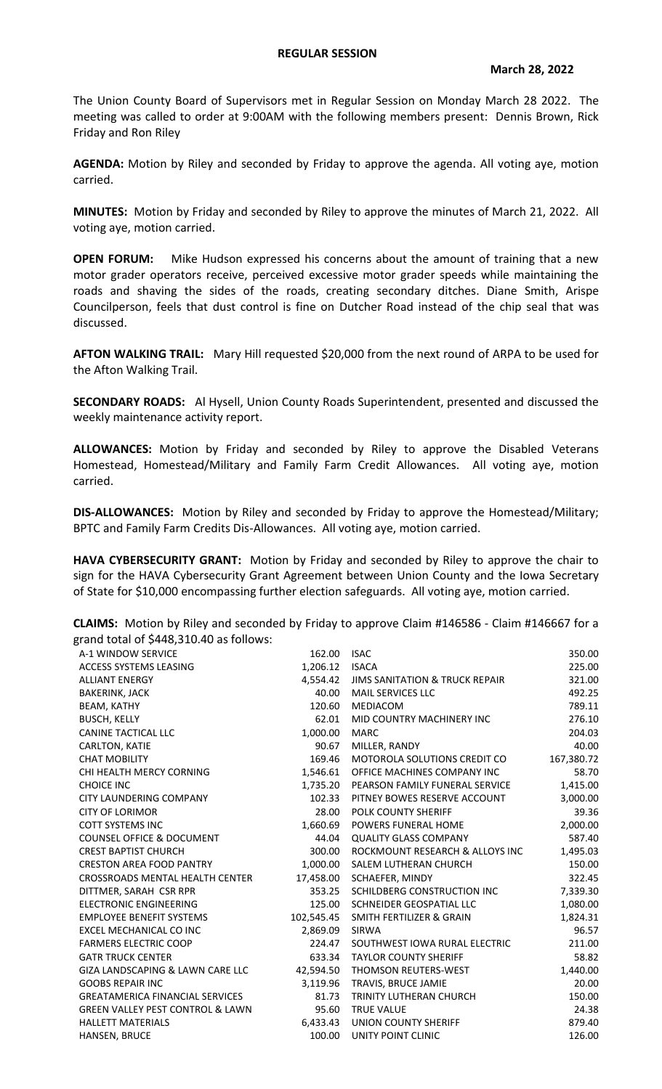## **REGULAR SESSION**

The Union County Board of Supervisors met in Regular Session on Monday March 28 2022. The meeting was called to order at 9:00AM with the following members present: Dennis Brown, Rick Friday and Ron Riley

**AGENDA:** Motion by Riley and seconded by Friday to approve the agenda. All voting aye, motion carried.

**MINUTES:** Motion by Friday and seconded by Riley to approve the minutes of March 21, 2022. All voting aye, motion carried.

**OPEN FORUM:** Mike Hudson expressed his concerns about the amount of training that a new motor grader operators receive, perceived excessive motor grader speeds while maintaining the roads and shaving the sides of the roads, creating secondary ditches. Diane Smith, Arispe Councilperson, feels that dust control is fine on Dutcher Road instead of the chip seal that was discussed.

**AFTON WALKING TRAIL:** Mary Hill requested \$20,000 from the next round of ARPA to be used for the Afton Walking Trail.

**SECONDARY ROADS:** Al Hysell, Union County Roads Superintendent, presented and discussed the weekly maintenance activity report.

**ALLOWANCES:** Motion by Friday and seconded by Riley to approve the Disabled Veterans Homestead, Homestead/Military and Family Farm Credit Allowances. All voting aye, motion carried.

**DIS-ALLOWANCES:** Motion by Riley and seconded by Friday to approve the Homestead/Military; BPTC and Family Farm Credits Dis-Allowances. All voting aye, motion carried.

**HAVA CYBERSECURITY GRANT:** Motion by Friday and seconded by Riley to approve the chair to sign for the HAVA Cybersecurity Grant Agreement between Union County and the Iowa Secretary of State for \$10,000 encompassing further election safeguards. All voting aye, motion carried.

**CLAIMS:** Motion by Riley and seconded by Friday to approve Claim #146586 - Claim #146667 for a grand total of \$448,310.40 as follows:

| A-1 WINDOW SERVICE                          | 162.00    | <b>ISAC</b>                             | 350.00     |
|---------------------------------------------|-----------|-----------------------------------------|------------|
| ACCESS SYSTEMS LEASING                      | 1,206.12  | <b>ISACA</b>                            | 225.00     |
| <b>ALLIANT ENERGY</b>                       |           | 4,554.42 JIMS SANITATION & TRUCK REPAIR | 321.00     |
| <b>BAKERINK, JACK</b>                       | 40.00     | <b>MAIL SERVICES LLC</b>                | 492.25     |
| <b>BEAM, KATHY</b>                          | 120.60    | MEDIACOM                                | 789.11     |
| <b>BUSCH, KELLY</b>                         | 62.01     | MID COUNTRY MACHINERY INC               | 276.10     |
| CANINE TACTICAL LLC                         | 1,000.00  | <b>MARC</b>                             | 204.03     |
| CARLTON, KATIE                              | 90.67     | MILLER, RANDY                           | 40.00      |
| <b>CHAT MOBILITY</b>                        | 169.46    | MOTOROLA SOLUTIONS CREDIT CO            | 167,380.72 |
| CHI HEALTH MERCY CORNING                    | 1,546.61  | OFFICE MACHINES COMPANY INC             | 58.70      |
| <b>CHOICE INC</b>                           | 1,735.20  | PEARSON FAMILY FUNERAL SERVICE          | 1,415.00   |
| CITY LAUNDERING COMPANY                     |           | 102.33 PITNEY BOWES RESERVE ACCOUNT     | 3,000.00   |
| <b>CITY OF LORIMOR</b>                      |           | 28.00 POLK COUNTY SHERIFF               | 39.36      |
| <b>COTT SYSTEMS INC</b>                     |           | 1,660.69 POWERS FUNERAL HOME            | 2,000.00   |
| <b>COUNSEL OFFICE &amp; DOCUMENT</b>        | 44.04     | <b>QUALITY GLASS COMPANY</b>            | 587.40     |
| <b>CREST BAPTIST CHURCH</b>                 | 300.00    | ROCKMOUNT RESEARCH & ALLOYS INC         | 1,495.03   |
| <b>CRESTON AREA FOOD PANTRY</b>             |           | 1,000.00 SALEM LUTHERAN CHURCH          | 150.00     |
| CROSSROADS MENTAL HEALTH CENTER             |           | 17,458.00 SCHAEFER, MINDY               | 322.45     |
| DITTMER, SARAH CSR RPR                      | 353.25    | SCHILDBERG CONSTRUCTION INC             | 7,339.30   |
| <b>ELECTRONIC ENGINEERING</b>               |           | 125.00 SCHNEIDER GEOSPATIAL LLC         | 1,080.00   |
| <b>EMPLOYEE BENEFIT SYSTEMS</b>             |           | 102,545.45 SMITH FERTILIZER & GRAIN     | 1,824.31   |
| EXCEL MECHANICAL CO INC                     | 2,869.09  | SIRWA                                   | 96.57      |
| <b>FARMERS ELECTRIC COOP</b>                | 224.47    | SOUTHWEST IOWA RURAL ELECTRIC           | 211.00     |
| <b>GATR TRUCK CENTER</b>                    | 633.34    | <b>TAYLOR COUNTY SHERIFF</b>            | 58.82      |
| <b>GIZA LANDSCAPING &amp; LAWN CARE LLC</b> | 42,594.50 | THOMSON REUTERS-WEST                    | 1,440.00   |
| <b>GOOBS REPAIR INC</b>                     |           | 3,119.96 TRAVIS, BRUCE JAMIE            | 20.00      |
| <b>GREATAMERICA FINANCIAL SERVICES</b>      | 81.73     | <b>TRINITY LUTHERAN CHURCH</b>          | 150.00     |
| <b>GREEN VALLEY PEST CONTROL &amp; LAWN</b> | 95.60     | <b>TRUE VALUE</b>                       | 24.38      |
| <b>HALLETT MATERIALS</b>                    |           | 6,433.43 UNION COUNTY SHERIFF           | 879.40     |
| <b>HANSEN, BRUCE</b>                        | 100.00    | UNITY POINT CLINIC                      | 126.00     |
|                                             |           |                                         |            |